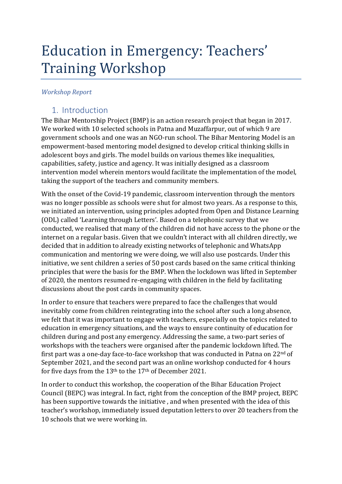# Education in Emergency: Teachers' Training Workshop

#### *Workshop Report*

### 1. Introduction

The Bihar Mentorship Project (BMP) is an action research project that began in 2017. We worked with 10 selected schools in Patna and Muzaffarpur, out of which 9 are government schools and one was an NGO-run school. The Bihar Mentoring Model is an empowerment-based mentoring model designed to develop critical thinking skills in adolescent boys and girls. The model builds on various themes like inequalities, capabilities, safety, justice and agency. It was initially designed as a classroom intervention model wherein mentors would facilitate the implementation of the model, taking the support of the teachers and community members.

With the onset of the Covid-19 pandemic, classroom intervention through the mentors was no longer possible as schools were shut for almost two years. As a response to this, we initiated an intervention, using principles adopted from Open and Distance Learning (ODL) called 'Learning through Letters'. Based on a telephonic survey that we conducted, we realised that many of the children did not have access to the phone or the internet on a regular basis. Given that we couldn't interact with all children directly, we decided that in addition to already existing networks of telephonic and WhatsApp communication and mentoring we were doing, we will also use postcards. Under this initiative, we sent children a series of 50 post cards based on the same critical thinking principles that were the basis for the BMP. When the lockdown was lifted in September of 2020, the mentors resumed re-engaging with children in the field by facilitating discussions about the post cards in community spaces.

In order to ensure that teachers were prepared to face the challenges that would inevitably come from children reintegrating into the school after such a long absence, we felt that it was important to engage with teachers, especially on the topics related to education in emergency situations, and the ways to ensure continuity of education for children during and post any emergency. Addressing the same, a two-part series of workshops with the teachers were organised after the pandemic lockdown lifted. The first part was a one-day face-to-face workshop that was conducted in Patna on 22<sup>nd</sup> of September 2021, and the second part was an online workshop conducted for 4 hours for five days from the 13th to the 17th of December 2021.

In order to conduct this workshop, the cooperation of the Bihar Education Project Council (BEPC) was integral. In fact, right from the conception of the BMP project, BEPC has been supportive towards the initiative , and when presented with the idea of this teacher's workshop, immediately issued deputation letters to over 20 teachers from the 10 schools that we were working in.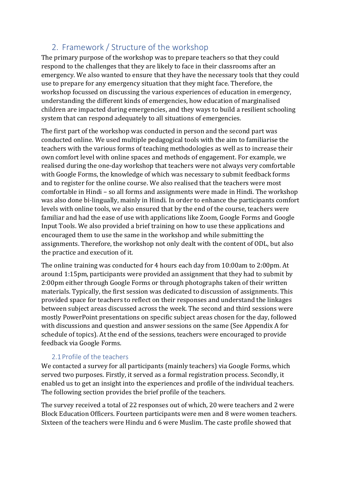# 2. Framework / Structure of the workshop

The primary purpose of the workshop was to prepare teachers so that they could respond to the challenges that they are likely to face in their classrooms after an emergency. We also wanted to ensure that they have the necessary tools that they could use to prepare for any emergency situation that they might face. Therefore, the workshop focussed on discussing the various experiences of education in emergency, understanding the different kinds of emergencies, how education of marginalised children are impacted during emergencies, and they ways to build a resilient schooling system that can respond adequately to all situations of emergencies.

The first part of the workshop was conducted in person and the second part was conducted online. We used multiple pedagogical tools with the aim to familiarise the teachers with the various forms of teaching methodologies as well as to increase their own comfort level with online spaces and methods of engagement. For example, we realised during the one-day workshop that teachers were not always very comfortable with Google Forms, the knowledge of which was necessary to submit feedback forms and to register for the online course. We also realised that the teachers were most comfortable in Hindi – so all forms and assignments were made in Hindi. The workshop was also done bi-lingually, mainly in Hindi. In order to enhance the participants comfort levels with online tools, we also ensured that by the end of the course, teachers were familiar and had the ease of use with applications like Zoom, Google Forms and Google Input Tools. We also provided a brief training on how to use these applications and encouraged them to use the same in the workshop and while submitting the assignments. Therefore, the workshop not only dealt with the content of ODL, but also the practice and execution of it.

The online training was conducted for 4 hours each day from 10:00am to 2:00pm. At around 1:15pm, participants were provided an assignment that they had to submit by 2:00pm either through Google Forms or through photographs taken of their written materials. Typically, the first session was dedicated to discussion of assignments. This provided space for teachers to reflect on their responses and understand the linkages between subject areas discussed across the week. The second and third sessions were mostly PowerPoint presentations on specific subject areas chosen for the day, followed with discussions and question and answer sessions on the same (See Appendix A for schedule of topics). At the end of the sessions, teachers were encouraged to provide feedback via Google Forms.

#### 2.1 Profile of the teachers

We contacted a survey for all participants (mainly teachers) via Google Forms, which served two purposes. Firstly, it served as a formal registration process. Secondly, it enabled us to get an insight into the experiences and profile of the individual teachers. The following section provides the brief profile of the teachers.

The survey received a total of 22 responses out of which, 20 were teachers and 2 were Block Education Officers. Fourteen participants were men and 8 were women teachers. Sixteen of the teachers were Hindu and 6 were Muslim. The caste profile showed that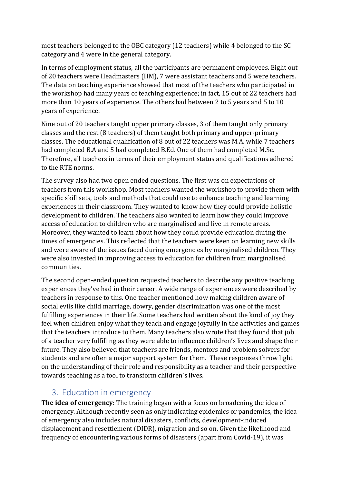most teachers belonged to the OBC category (12 teachers) while 4 belonged to the SC category and 4 were in the general category.

In terms of employment status, all the participants are permanent employees. Eight out of 20 teachers were Headmasters (HM), 7 were assistant teachers and 5 were teachers. The data on teaching experience showed that most of the teachers who participated in the workshop had many years of teaching experience; in fact, 15 out of 22 teachers had more than 10 years of experience. The others had between 2 to 5 years and 5 to 10 years of experience.

Nine out of 20 teachers taught upper primary classes, 3 of them taught only primary classes and the rest (8 teachers) of them taught both primary and upper-primary classes. The educational qualification of 8 out of 22 teachers was M.A. while 7 teachers had completed B.A and 5 had completed B.Ed. One of them had completed M.Sc. Therefore, all teachers in terms of their employment status and qualifications adhered to the RTE norms.

The survey also had two open ended questions. The first was on expectations of teachers from this workshop. Most teachers wanted the workshop to provide them with specific skill sets, tools and methods that could use to enhance teaching and learning experiences in their classroom. They wanted to know how they could provide holistic development to children. The teachers also wanted to learn how they could improve access of education to children who are marginalised and live in remote areas. Moreover, they wanted to learn about how they could provide education during the times of emergencies. This reflected that the teachers were keen on learning new skills and were aware of the issues faced during emergencies by marginalised children. They were also invested in improving access to education for children from marginalised communities.

The second open-ended question requested teachers to describe any positive teaching experiences they've had in their career. A wide range of experiences were described by teachers in response to this. One teacher mentioned how making children aware of social evils like child marriage, dowry, gender discrimination was one of the most fulfilling experiences in their life. Some teachers had written about the kind of joy they feel when children enjoy what they teach and engage joyfully in the activities and games that the teachers introduce to them. Many teachers also wrote that they found that job of a teacher very fulfilling as they were able to influence children's lives and shape their future. They also believed that teachers are friends, mentors and problem solvers for students and are often a major support system for them. These responses throw light on the understanding of their role and responsibility as a teacher and their perspective towards teaching as a tool to transform children's lives.

#### 3. Education in emergency

**The idea of emergency:** The training began with a focus on broadening the idea of emergency. Although recently seen as only indicating epidemics or pandemics, the idea of emergency also includes natural disasters, conflicts, development-induced displacement and resettlement (DIDR), migration and so on. Given the likelihood and frequency of encountering various forms of disasters (apart from Covid-19), it was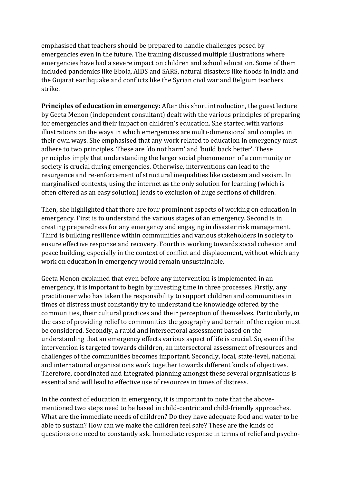emphasised that teachers should be prepared to handle challenges posed by emergencies even in the future. The training discussed multiple illustrations where emergencies have had a severe impact on children and school education. Some of them included pandemics like Ebola, AIDS and SARS, natural disasters like floods in India and the Gujarat earthquake and conflicts like the Syrian civil war and Belgium teachers strike.

**Principles of education in emergency:** After this short introduction, the guest lecture by Geeta Menon (independent consultant) dealt with the various principles of preparing for emergencies and their impact on children's education. She started with various illustrations on the ways in which emergencies are multi-dimensional and complex in their own ways. She emphasised that any work related to education in emergency must adhere to two principles. These are 'do not harm' and 'build back better'. These principles imply that understanding the larger social phenomenon of a community or society is crucial during emergencies. Otherwise, interventions can lead to the resurgence and re-enforcement of structural inequalities like casteism and sexism. In marginalised contexts, using the internet as the only solution for learning (which is often offered as an easy solution) leads to exclusion of huge sections of children.

Then, she highlighted that there are four prominent aspects of working on education in emergency. First is to understand the various stages of an emergency. Second is in creating preparedness for any emergency and engaging in disaster risk management. Third is building resilience within communities and various stakeholders in society to ensure effective response and recovery. Fourth is working towards social cohesion and peace building, especially in the context of conflict and displacement, without which any work on education in emergency would remain unsustainable.

Geeta Menon explained that even before any intervention is implemented in an emergency, it is important to begin by investing time in three processes. Firstly, any practitioner who has taken the responsibility to support children and communities in times of distress must constantly try to understand the knowledge offered by the communities, their cultural practices and their perception of themselves. Particularly, in the case of providing relief to communities the geography and terrain of the region must be considered. Secondly, a rapid and intersectoral assessment based on the understanding that an emergency effects various aspect of life is crucial. So, even if the intervention is targeted towards children, an intersectoral assessment of resources and challenges of the communities becomes important. Secondly, local, state-level, national and international organisations work together towards different kinds of objectives. Therefore, coordinated and integrated planning amongst these several organisations is essential and will lead to effective use of resources in times of distress.

In the context of education in emergency, it is important to note that the abovementioned two steps need to be based in child-centric and child-friendly approaches. What are the immediate needs of children? Do they have adequate food and water to be able to sustain? How can we make the children feel safe? These are the kinds of questions one need to constantly ask. Immediate response in terms of relief and psycho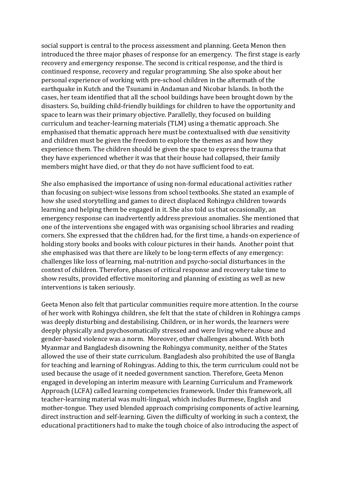social support is central to the process assessment and planning. Geeta Menon then introduced the three major phases of response for an emergency. The first stage is early recovery and emergency response. The second is critical response, and the third is continued response, recovery and regular programming. She also spoke about her personal experience of working with pre-school children in the aftermath of the earthquake in Kutch and the Tsunami in Andaman and Nicobar Islands. In both the cases, her team identified that all the school buildings have been brought down by the disasters. So, building child-friendly buildings for children to have the opportunity and space to learn was their primary objective. Parallelly, they focused on building curriculum and teacher-learning materials (TLM) using a thematic approach. She emphasised that thematic approach here must be contextualised with due sensitivity and children must be given the freedom to explore the themes as and how they experience them. The children should be given the space to express the trauma that they have experienced whether it was that their house had collapsed, their family members might have died, or that they do not have sufficient food to eat.

She also emphasised the importance of using non-formal educational activities rather than focusing on subject-wise lessons from school textbooks. She stated an example of how she used storytelling and games to direct displaced Rohingya children towards learning and helping them be engaged in it. She also told us that occasionally, an emergency response can inadvertently address previous anomalies. She mentioned that one of the interventions she engaged with was organising school libraries and reading corners. She expressed that the children had, for the first time, a hands-on experience of holding story books and books with colour pictures in their hands. Another point that she emphasised was that there are likely to be long-term effects of any emergency: challenges like loss of learning, mal-nutrition and psycho-social disturbances in the context of children. Therefore, phases of critical response and recovery take time to show results, provided effective monitoring and planning of existing as well as new interventions is taken seriously.

Geeta Menon also felt that particular communities require more attention. In the course of her work with Rohingya children, she felt that the state of children in Rohingya camps was deeply disturbing and destabilising. Children, or in her words, the learners were deeply physically and psychosomatically stressed and were living where abuse and gender-based violence was a norm. Moreover, other challenges abound. With both Myanmar and Bangladesh disowning the Rohingya community, neither of the States allowed the use of their state curriculum. Bangladesh also prohibited the use of Bangla for teaching and learning of Rohingyas. Adding to this, the term curriculum could not be used because the usage of it needed government sanction. Therefore, Geeta Menon engaged in developing an interim measure with Learning Curriculum and Framework Approach (LCFA) called learning competencies framework. Under this framework, all teacher-learning material was multi-lingual, which includes Burmese, English and mother-tongue. They used blended approach comprising components of active learning, direct instruction and self-learning. Given the difficulty of working in such a context, the educational practitioners had to make the tough choice of also introducing the aspect of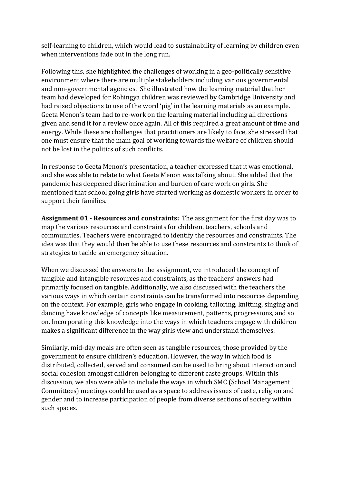self-learning to children, which would lead to sustainability of learning by children even when interventions fade out in the long run.

Following this, she highlighted the challenges of working in a geo-politically sensitive environment where there are multiple stakeholders including various governmental and non-governmental agencies. She illustrated how the learning material that her team had developed for Rohingya children was reviewed by Cambridge University and had raised objections to use of the word 'pig' in the learning materials as an example. Geeta Menon's team had to re-work on the learning material including all directions given and send it for a review once again. All of this required a great amount of time and energy. While these are challenges that practitioners are likely to face, she stressed that one must ensure that the main goal of working towards the welfare of children should not be lost in the politics of such conflicts.

In response to Geeta Menon's presentation, a teacher expressed that it was emotional, and she was able to relate to what Geeta Menon was talking about. She added that the pandemic has deepened discrimination and burden of care work on girls. She mentioned that school going girls have started working as domestic workers in order to support their families.

**Assignment 01 - Resources and constraints:** The assignment for the first day was to map the various resources and constraints for children, teachers, schools and communities. Teachers were encouraged to identify the resources and constraints. The idea was that they would then be able to use these resources and constraints to think of strategies to tackle an emergency situation.

When we discussed the answers to the assignment, we introduced the concept of tangible and intangible resources and constraints, as the teachers' answers had primarily focused on tangible. Additionally, we also discussed with the teachers the various ways in which certain constraints can be transformed into resources depending on the context. For example, girls who engage in cooking, tailoring, knitting, singing and dancing have knowledge of concepts like measurement, patterns, progressions, and so on. Incorporating this knowledge into the ways in which teachers engage with children makes a significant difference in the way girls view and understand themselves.

Similarly, mid-day meals are often seen as tangible resources, those provided by the government to ensure children's education. However, the way in which food is distributed, collected, served and consumed can be used to bring about interaction and social cohesion amongst children belonging to different caste groups. Within this discussion, we also were able to include the ways in which SMC (School Management Committees) meetings could be used as a space to address issues of caste, religion and gender and to increase participation of people from diverse sections of society within such spaces.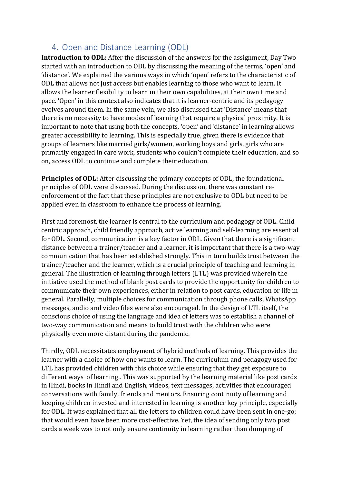## 4. Open and Distance Learning (ODL)

**Introduction to ODL:** After the discussion of the answers for the assignment, Day Two started with an introduction to ODL by discussing the meaning of the terms, 'open' and 'distance'. We explained the various ways in which 'open' refers to the characteristic of ODL that allows not just access but enables learning to those who want to learn. It allows the learner flexibility to learn in their own capabilities, at their own time and pace. 'Open' in this context also indicates that it is learner-centric and its pedagogy evolves around them. In the same vein, we also discussed that 'Distance' means that there is no necessity to have modes of learning that require a physical proximity. It is important to note that using both the concepts, 'open' and 'distance' in learning allows greater accessibility to learning. This is especially true, given there is evidence that groups of learners like married girls/women, working boys and girls, girls who are primarily engaged in care work, students who couldn't complete their education, and so on, access ODL to continue and complete their education.

**Principles of ODL:** After discussing the primary concepts of ODL, the foundational principles of ODL were discussed. During the discussion, there was constant reenforcement of the fact that these principles are not exclusive to ODL but need to be applied even in classroom to enhance the process of learning.

First and foremost, the learner is central to the curriculum and pedagogy of ODL. Child centric approach, child friendly approach, active learning and self-learning are essential for ODL. Second, communication is a key factor in ODL. Given that there is a significant distance between a trainer/teacher and a learner, it is important that there is a two-way communication that has been established strongly. This in turn builds trust between the trainer/teacher and the learner, which is a crucial principle of teaching and learning in general. The illustration of learning through letters (LTL) was provided wherein the initiative used the method of blank post cards to provide the opportunity for children to communicate their own experiences, either in relation to post cards, education or life in general. Parallelly, multiple choices for communication through phone calls, WhatsApp messages, audio and video files were also encouraged. In the design of LTL itself, the conscious choice of using the language and idea of letters was to establish a channel of two-way communication and means to build trust with the children who were physically even more distant during the pandemic.

Thirdly, ODL necessitates employment of hybrid methods of learning. This provides the learner with a choice of how one wants to learn. The curriculum and pedagogy used for LTL has provided children with this choice while ensuring that they get exposure to different ways of learning.. This was supported by the learning material like post cards in Hindi, books in Hindi and English, videos, text messages, activities that encouraged conversations with family, friends and mentors. Ensuring continuity of learning and keeping children invested and interested in learning is another key principle, especially for ODL. It was explained that all the letters to children could have been sent in one-go; that would even have been more cost-effective. Yet, the idea of sending only two post cards a week was to not only ensure continuity in learning rather than dumping of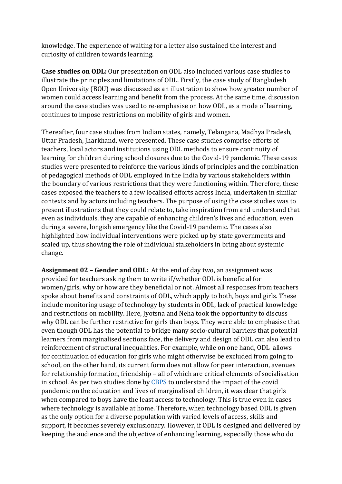knowledge. The experience of waiting for a letter also sustained the interest and curiosity of children towards learning.

**Case studies on ODL:** Our presentation on ODL also included various case studies to illustrate the principles and limitations of ODL. Firstly, the case study of Bangladesh Open University (BOU) was discussed as an illustration to show how greater number of women could access learning and benefit from the process. At the same time, discussion around the case studies was used to re-emphasise on how ODL, as a mode of learning, continues to impose restrictions on mobility of girls and women.

Thereafter, four case studies from Indian states, namely, Telangana, Madhya Pradesh, Uttar Pradesh, Jharkhand, were presented. These case studies comprise efforts of teachers, local actors and institutions using ODL methods to ensure continuity of learning for children during school closures due to the Covid-19 pandemic. These cases studies were presented to reinforce the various kinds of principles and the combination of pedagogical methods of ODL employed in the India by various stakeholders within the boundary of various restrictions that they were functioning within. Therefore, these cases exposed the teachers to a few localised efforts across India, undertaken in similar contexts and by actors including teachers. The purpose of using the case studies was to present illustrations that they could relate to, take inspiration from and understand that even as individuals, they are capable of enhancing children's lives and education, even during a severe, longish emergency like the Covid-19 pandemic. The cases also highlighted how individual interventions were picked up by state governments and scaled up, thus showing the role of individual stakeholders in bring about systemic change.

**Assignment 02 – Gender and ODL:** At the end of day two, an assignment was provided for teachers asking them to write if/whether ODL is beneficial for women/girls, why or how are they beneficial or not. Almost all responses from teachers spoke about benefits and constraints of ODL, which apply to both, boys and girls. These include monitoring usage of technology by students in ODL, lack of practical knowledge and restrictions on mobility. Here, Jyotsna and Neha took the opportunity to discuss why ODL can be further restrictive for girls than boys. They were able to emphasise that even though ODL has the potential to bridge many socio-cultural barriers that potential learners from marginalised sections face, the delivery and design of ODL can also lead to reinforcement of structural inequalities. For example, while on one hand, ODL allows for continuation of education for girls who might otherwise be excluded from going to school, on the other hand, its current form does not allow for peer interaction, avenues for relationship formation, friendship – all of which are critical elements of socialisation in school. As per two studies done b[y CBPS](http://cbps.in/wp-content/uploads/Report-Final-1.pdf) to understand the impact of the covid pandemic on the education and lives of marginalised children, it was clear that girls when compared to boys have the least access to technology. This is true even in cases where technology is available at home. Therefore, when technology based ODL is given as the only option for a diverse population with varied levels of access, skills and support, it becomes severely exclusionary. However, if ODL is designed and delivered by keeping the audience and the objective of enhancing learning, especially those who do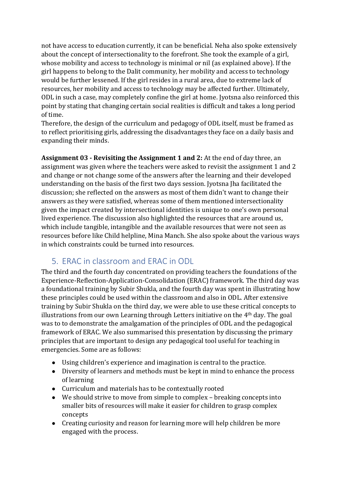not have access to education currently, it can be beneficial. Neha also spoke extensively about the concept of intersectionality to the forefront. She took the example of a girl, whose mobility and access to technology is minimal or nil (as explained above). If the girl happens to belong to the Dalit community, her mobility and access to technology would be further lessened. If the girl resides in a rural area, due to extreme lack of resources, her mobility and access to technology may be affected further. Ultimately, ODL in such a case, may completely confine the girl at home. Jyotsna also reinforced this point by stating that changing certain social realities is difficult and takes a long period of time.

Therefore, the design of the curriculum and pedagogy of ODL itself, must be framed as to reflect prioritising girls, addressing the disadvantages they face on a daily basis and expanding their minds.

**Assignment 03 - Revisiting the Assignment 1 and 2:** At the end of day three, an assignment was given where the teachers were asked to revisit the assignment 1 and 2 and change or not change some of the answers after the learning and their developed understanding on the basis of the first two days session. Jyotsna Jha facilitated the discussion; she reflected on the answers as most of them didn't want to change their answers as they were satisfied, whereas some of them mentioned intersectionality given the impact created by intersectional identities is unique to one's own personal lived experience. The discussion also highlighted the resources that are around us, which include tangible, intangible and the available resources that were not seen as resources before like Child helpline, Mina Manch. She also spoke about the various ways in which constraints could be turned into resources.

#### 5. ERAC in classroom and ERAC in ODL

The third and the fourth day concentrated on providing teachers the foundations of the Experience-Reflection-Application-Consolidation (ERAC) framework. The third day was a foundational training by Subir Shukla, and the fourth day was spent in illustrating how these principles could be used within the classroom and also in ODL. After extensive training by Subir Shukla on the third day, we were able to use these critical concepts to illustrations from our own Learning through Letters initiative on the 4th day. The goal was to to demonstrate the amalgamation of the principles of ODL and the pedagogical framework of ERAC. We also summarised this presentation by discussing the primary principles that are important to design any pedagogical tool useful for teaching in emergencies. Some are as follows:

- Using children's experience and imagination is central to the practice.
- Diversity of learners and methods must be kept in mind to enhance the process of learning
- Curriculum and materials has to be contextually rooted
- We should strive to move from simple to complex breaking concepts into smaller bits of resources will make it easier for children to grasp complex concepts
- Creating curiosity and reason for learning more will help children be more engaged with the process.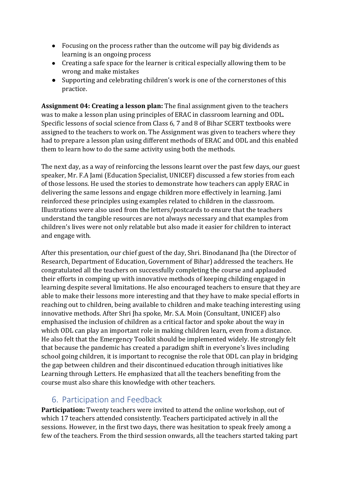- Focusing on the process rather than the outcome will pay big dividends as learning is an ongoing process
- Creating a safe space for the learner is critical especially allowing them to be wrong and make mistakes
- Supporting and celebrating children's work is one of the cornerstones of this practice.

**Assignment 04: Creating a lesson plan:** The final assignment given to the teachers was to make a lesson plan using principles of ERAC in classroom learning and ODL. Specific lessons of social science from Class 6, 7 and 8 of Bihar SCERT textbooks were assigned to the teachers to work on. The Assignment was given to teachers where they had to prepare a lesson plan using different methods of ERAC and ODL and this enabled them to learn how to do the same activity using both the methods.

The next day, as a way of reinforcing the lessons learnt over the past few days, our guest speaker, Mr. F.A Jami (Education Specialist, UNICEF) discussed a few stories from each of those lessons. He used the stories to demonstrate how teachers can apply ERAC in delivering the same lessons and engage children more effectively in learning. Jami reinforced these principles using examples related to children in the classroom. Illustrations were also used from the letters/postcards to ensure that the teachers understand the tangible resources are not always necessary and that examples from children's lives were not only relatable but also made it easier for children to interact and engage with.

After this presentation, our chief guest of the day, Shri. Binodanand Jha (the Director of Research, Department of Education, Government of Bihar) addressed the teachers. He congratulated all the teachers on successfully completing the course and applauded their efforts in comping up with innovative methods of keeping childing engaged in learning despite several limitations. He also encouraged teachers to ensure that they are able to make their lessons more interesting and that they have to make special efforts in reaching out to children, being available to children and make teaching interesting using innovative methods. After Shri Jha spoke, Mr. S.A. Moin (Consultant, UNICEF) also emphasised the inclusion of children as a critical factor and spoke about the way in which ODL can play an important role in making children learn, even from a distance. He also felt that the Emergency Toolkit should be implemented widely. He strongly felt that because the pandemic has created a paradigm shift in everyone's lives including school going children, it is important to recognise the role that ODL can play in bridging the gap between children and their discontinued education through initiatives like Learning through Letters. He emphasized that all the teachers benefiting from the course must also share this knowledge with other teachers.

# 6. Participation and Feedback

**Participation:** Twenty teachers were invited to attend the online workshop, out of which 17 teachers attended consistently. Teachers participated actively in all the sessions. However, in the first two days, there was hesitation to speak freely among a few of the teachers. From the third session onwards, all the teachers started taking part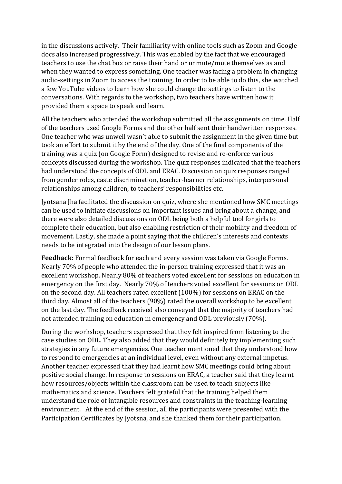in the discussions actively. Their familiarity with online tools such as Zoom and Google docs also increased progressively. This was enabled by the fact that we encouraged teachers to use the chat box or raise their hand or unmute/mute themselves as and when they wanted to express something. One teacher was facing a problem in changing audio-settings in Zoom to access the training. In order to be able to do this, she watched a few YouTube videos to learn how she could change the settings to listen to the conversations. With regards to the workshop, two teachers have written how it provided them a space to speak and learn.

All the teachers who attended the workshop submitted all the assignments on time. Half of the teachers used Google Forms and the other half sent their handwritten responses. One teacher who was unwell wasn't able to submit the assignment in the given time but took an effort to submit it by the end of the day. One of the final components of the training was a quiz (on Google Form) designed to revise and re-enforce various concepts discussed during the workshop. The quiz responses indicated that the teachers had understood the concepts of ODL and ERAC. Discussion on quiz responses ranged from gender roles, caste discrimination, teacher-learner relationships, interpersonal relationships among children, to teachers' responsibilities etc.

Jyotsana Jha facilitated the discussion on quiz, where she mentioned how SMC meetings can be used to initiate discussions on important issues and bring about a change, and there were also detailed discussions on ODL being both a helpful tool for girls to complete their education, but also enabling restriction of their mobility and freedom of movement. Lastly, she made a point saying that the children's interests and contexts needs to be integrated into the design of our lesson plans.

**Feedback:** Formal feedback for each and every session was taken via Google Forms. Nearly 70% of people who attended the in-person training expressed that it was an excellent workshop. Nearly 80% of teachers voted excellent for sessions on education in emergency on the first day. Nearly 70% of teachers voted excellent for sessions on ODL on the second day. All teachers rated excellent (100%) for sessions on ERAC on the third day. Almost all of the teachers (90%) rated the overall workshop to be excellent on the last day. The feedback received also conveyed that the majority of teachers had not attended training on education in emergency and ODL previously (70%).

During the workshop, teachers expressed that they felt inspired from listening to the case studies on ODL. They also added that they would definitely try implementing such strategies in any future emergencies. One teacher mentioned that they understood how to respond to emergencies at an individual level, even without any external impetus. Another teacher expressed that they had learnt how SMC meetings could bring about positive social change. In response to sessions on ERAC, a teacher said that they learnt how resources/objects within the classroom can be used to teach subjects like mathematics and science. Teachers felt grateful that the training helped them understand the role of intangible resources and constraints in the teaching-learning environment. At the end of the session, all the participants were presented with the Participation Certificates by Jyotsna, and she thanked them for their participation.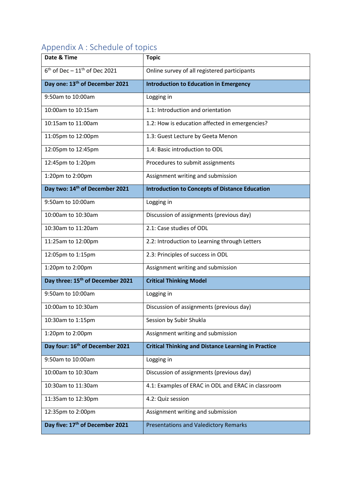# Appendix A : Schedule of topics

| Date & Time                                  | <b>Topic</b>                                               |
|----------------------------------------------|------------------------------------------------------------|
| $6th$ of Dec - 11 <sup>th</sup> of Dec 2021  | Online survey of all registered participants               |
| Day one: 13 <sup>th</sup> of December 2021   | <b>Introduction to Education in Emergency</b>              |
| 9:50am to 10:00am                            | Logging in                                                 |
| 10:00am to 10:15am                           | 1.1: Introduction and orientation                          |
| 10:15am to 11:00am                           | 1.2: How is education affected in emergencies?             |
| 11:05pm to 12:00pm                           | 1.3: Guest Lecture by Geeta Menon                          |
| 12:05pm to 12:45pm                           | 1.4: Basic introduction to ODL                             |
| 12:45pm to 1:20pm                            | Procedures to submit assignments                           |
| 1:20pm to 2:00pm                             | Assignment writing and submission                          |
| Day two: 14 <sup>th</sup> of December 2021   | <b>Introduction to Concepts of Distance Education</b>      |
| 9:50am to 10:00am                            | Logging in                                                 |
| 10:00am to 10:30am                           | Discussion of assignments (previous day)                   |
| 10:30am to 11:20am                           | 2.1: Case studies of ODL                                   |
| 11:25am to 12:00pm                           | 2.2: Introduction to Learning through Letters              |
| 12:05pm to 1:15pm                            | 2.3: Principles of success in ODL                          |
| 1:20pm to 2:00pm                             | Assignment writing and submission                          |
| Day three: 15 <sup>th</sup> of December 2021 | <b>Critical Thinking Model</b>                             |
| 9:50am to 10:00am                            | Logging in                                                 |
| 10:00am to 10:30am                           | Discussion of assignments (previous day)                   |
| 10:30am to 1:15pm                            | Session by Subir Shukla                                    |
| 1:20pm to 2:00pm                             | Assignment writing and submission                          |
| Day four: 16 <sup>th</sup> of December 2021  | <b>Critical Thinking and Distance Learning in Practice</b> |
| 9:50am to 10:00am                            | Logging in                                                 |
| 10:00am to 10:30am                           | Discussion of assignments (previous day)                   |
| 10:30am to 11:30am                           | 4.1: Examples of ERAC in ODL and ERAC in classroom         |
| 11:35am to 12:30pm                           | 4.2: Quiz session                                          |
| 12:35pm to 2:00pm                            | Assignment writing and submission                          |
| Day five: 17 <sup>th</sup> of December 2021  | <b>Presentations and Valedictory Remarks</b>               |